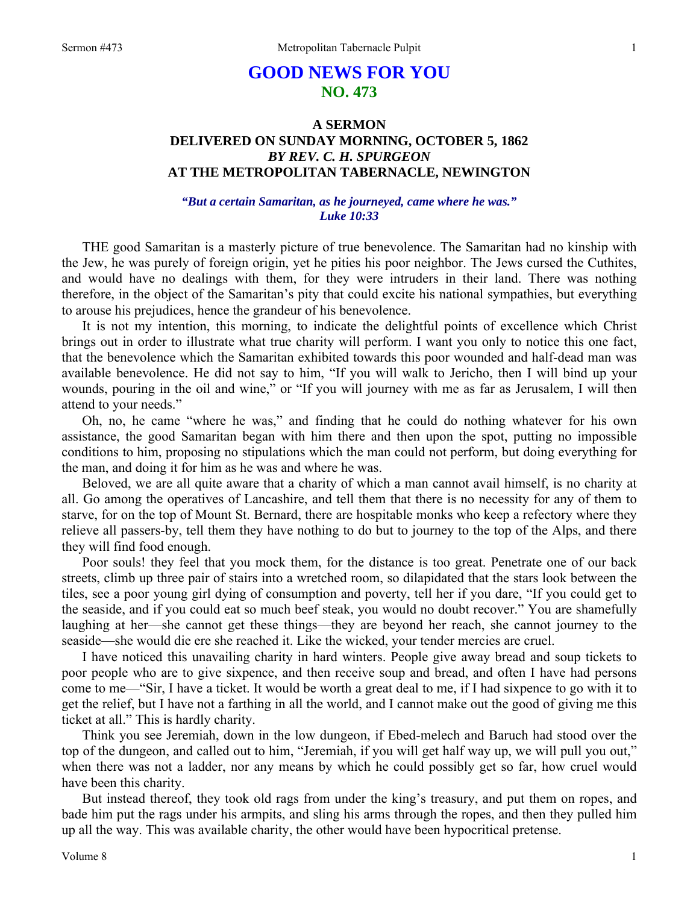# **GOOD NEWS FOR YOU NO. 473**

## **A SERMON DELIVERED ON SUNDAY MORNING, OCTOBER 5, 1862**  *BY REV. C. H. SPURGEON*  **AT THE METROPOLITAN TABERNACLE, NEWINGTON**

### *"But a certain Samaritan, as he journeyed, came where he was." Luke 10:33*

THE good Samaritan is a masterly picture of true benevolence. The Samaritan had no kinship with the Jew, he was purely of foreign origin, yet he pities his poor neighbor. The Jews cursed the Cuthites, and would have no dealings with them, for they were intruders in their land. There was nothing therefore, in the object of the Samaritan's pity that could excite his national sympathies, but everything to arouse his prejudices, hence the grandeur of his benevolence.

It is not my intention, this morning, to indicate the delightful points of excellence which Christ brings out in order to illustrate what true charity will perform. I want you only to notice this one fact, that the benevolence which the Samaritan exhibited towards this poor wounded and half-dead man was available benevolence. He did not say to him, "If you will walk to Jericho, then I will bind up your wounds, pouring in the oil and wine," or "If you will journey with me as far as Jerusalem, I will then attend to your needs."

Oh, no, he came "where he was," and finding that he could do nothing whatever for his own assistance, the good Samaritan began with him there and then upon the spot, putting no impossible conditions to him, proposing no stipulations which the man could not perform, but doing everything for the man, and doing it for him as he was and where he was.

Beloved, we are all quite aware that a charity of which a man cannot avail himself, is no charity at all. Go among the operatives of Lancashire, and tell them that there is no necessity for any of them to starve, for on the top of Mount St. Bernard, there are hospitable monks who keep a refectory where they relieve all passers-by, tell them they have nothing to do but to journey to the top of the Alps, and there they will find food enough.

Poor souls! they feel that you mock them, for the distance is too great. Penetrate one of our back streets, climb up three pair of stairs into a wretched room, so dilapidated that the stars look between the tiles, see a poor young girl dying of consumption and poverty, tell her if you dare, "If you could get to the seaside, and if you could eat so much beef steak, you would no doubt recover." You are shamefully laughing at her—she cannot get these things—they are beyond her reach, she cannot journey to the seaside—she would die ere she reached it. Like the wicked, your tender mercies are cruel.

I have noticed this unavailing charity in hard winters. People give away bread and soup tickets to poor people who are to give sixpence, and then receive soup and bread, and often I have had persons come to me—"Sir, I have a ticket. It would be worth a great deal to me, if I had sixpence to go with it to get the relief, but I have not a farthing in all the world, and I cannot make out the good of giving me this ticket at all." This is hardly charity.

Think you see Jeremiah, down in the low dungeon, if Ebed-melech and Baruch had stood over the top of the dungeon, and called out to him, "Jeremiah, if you will get half way up, we will pull you out," when there was not a ladder, nor any means by which he could possibly get so far, how cruel would have been this charity.

But instead thereof, they took old rags from under the king's treasury, and put them on ropes, and bade him put the rags under his armpits, and sling his arms through the ropes, and then they pulled him up all the way. This was available charity, the other would have been hypocritical pretense.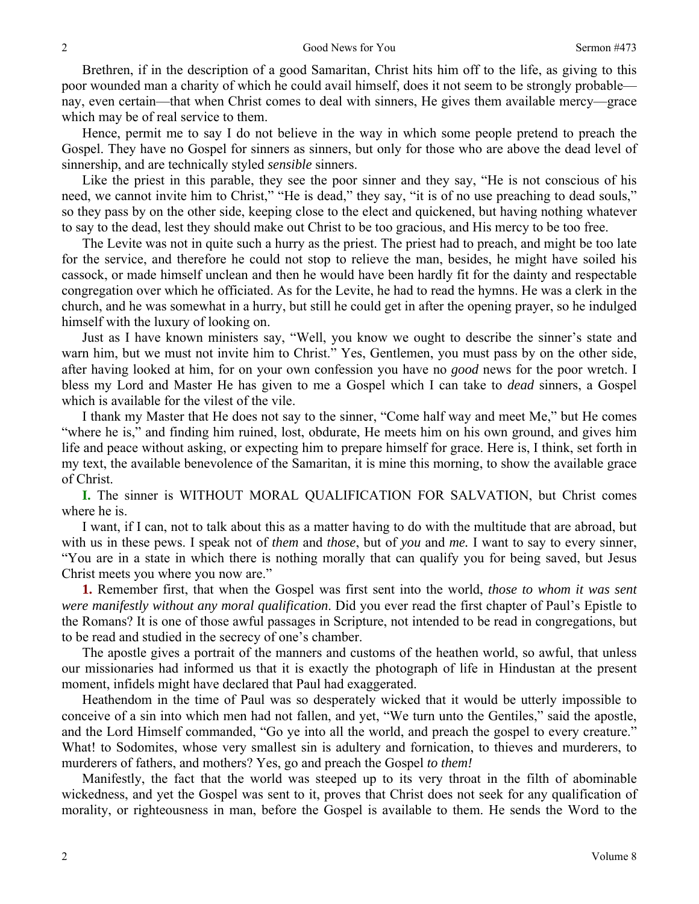Brethren, if in the description of a good Samaritan, Christ hits him off to the life, as giving to this poor wounded man a charity of which he could avail himself, does it not seem to be strongly probable nay, even certain—that when Christ comes to deal with sinners, He gives them available mercy—grace which may be of real service to them.

Hence, permit me to say I do not believe in the way in which some people pretend to preach the Gospel. They have no Gospel for sinners as sinners, but only for those who are above the dead level of sinnership, and are technically styled *sensible* sinners.

Like the priest in this parable, they see the poor sinner and they say, "He is not conscious of his need, we cannot invite him to Christ," "He is dead," they say, "it is of no use preaching to dead souls," so they pass by on the other side, keeping close to the elect and quickened, but having nothing whatever to say to the dead, lest they should make out Christ to be too gracious, and His mercy to be too free.

The Levite was not in quite such a hurry as the priest. The priest had to preach, and might be too late for the service, and therefore he could not stop to relieve the man, besides, he might have soiled his cassock, or made himself unclean and then he would have been hardly fit for the dainty and respectable congregation over which he officiated. As for the Levite, he had to read the hymns. He was a clerk in the church, and he was somewhat in a hurry, but still he could get in after the opening prayer, so he indulged himself with the luxury of looking on.

Just as I have known ministers say, "Well, you know we ought to describe the sinner's state and warn him, but we must not invite him to Christ." Yes, Gentlemen, you must pass by on the other side, after having looked at him, for on your own confession you have no *good* news for the poor wretch. I bless my Lord and Master He has given to me a Gospel which I can take to *dead* sinners, a Gospel which is available for the vilest of the vile.

I thank my Master that He does not say to the sinner, "Come half way and meet Me," but He comes "where he is," and finding him ruined, lost, obdurate, He meets him on his own ground, and gives him life and peace without asking, or expecting him to prepare himself for grace. Here is, I think, set forth in my text, the available benevolence of the Samaritan, it is mine this morning, to show the available grace of Christ.

**I.** The sinner is WITHOUT MORAL QUALIFICATION FOR SALVATION, but Christ comes where he is.

I want, if I can, not to talk about this as a matter having to do with the multitude that are abroad, but with us in these pews. I speak not of *them* and *those*, but of *you* and *me.* I want to say to every sinner, "You are in a state in which there is nothing morally that can qualify you for being saved, but Jesus Christ meets you where you now are."

**1.** Remember first, that when the Gospel was first sent into the world, *those to whom it was sent were manifestly without any moral qualification*. Did you ever read the first chapter of Paul's Epistle to the Romans? It is one of those awful passages in Scripture, not intended to be read in congregations, but to be read and studied in the secrecy of one's chamber.

The apostle gives a portrait of the manners and customs of the heathen world, so awful, that unless our missionaries had informed us that it is exactly the photograph of life in Hindustan at the present moment, infidels might have declared that Paul had exaggerated.

Heathendom in the time of Paul was so desperately wicked that it would be utterly impossible to conceive of a sin into which men had not fallen, and yet, "We turn unto the Gentiles," said the apostle, and the Lord Himself commanded, "Go ye into all the world, and preach the gospel to every creature." What! to Sodomites, whose very smallest sin is adultery and fornication, to thieves and murderers, to murderers of fathers, and mothers? Yes, go and preach the Gospel *to them!*

Manifestly, the fact that the world was steeped up to its very throat in the filth of abominable wickedness, and yet the Gospel was sent to it, proves that Christ does not seek for any qualification of morality, or righteousness in man, before the Gospel is available to them. He sends the Word to the

2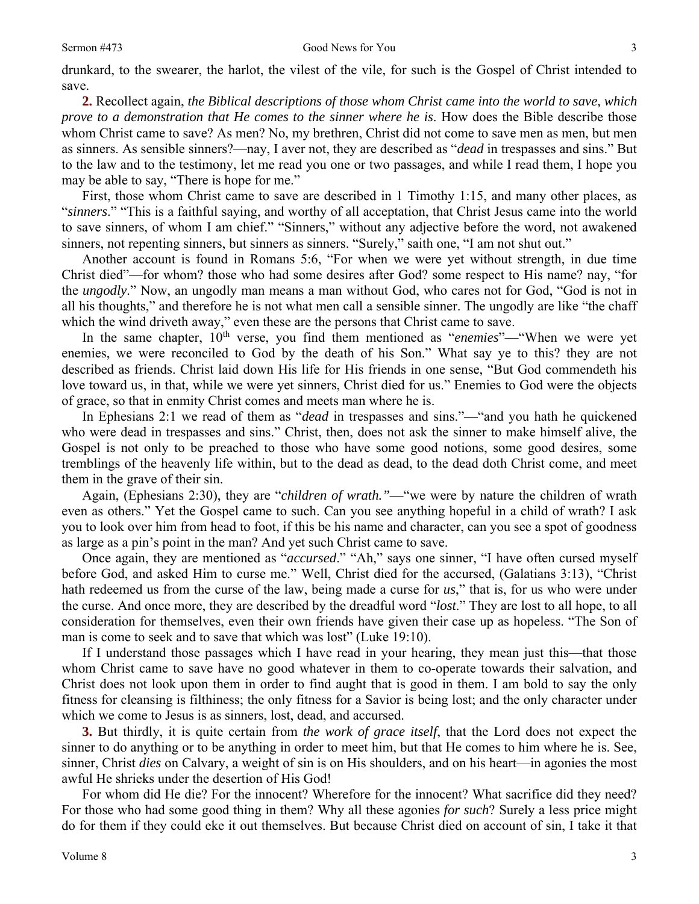drunkard, to the swearer, the harlot, the vilest of the vile, for such is the Gospel of Christ intended to save.

**2.** Recollect again, *the Biblical descriptions of those whom Christ came into the world to save, which prove to a demonstration that He comes to the sinner where he is*. How does the Bible describe those whom Christ came to save? As men? No, my brethren, Christ did not come to save men as men, but men as sinners. As sensible sinners?—nay, I aver not, they are described as "*dead* in trespasses and sins." But to the law and to the testimony, let me read you one or two passages, and while I read them, I hope you may be able to say, "There is hope for me."

First, those whom Christ came to save are described in 1 Timothy 1:15, and many other places, as "*sinners*." "This is a faithful saying, and worthy of all acceptation, that Christ Jesus came into the world to save sinners, of whom I am chief." "Sinners," without any adjective before the word, not awakened sinners, not repenting sinners, but sinners as sinners. "Surely," saith one, "I am not shut out."

Another account is found in Romans 5:6, "For when we were yet without strength, in due time Christ died"—for whom? those who had some desires after God? some respect to His name? nay, "for the *ungodly*." Now, an ungodly man means a man without God, who cares not for God, "God is not in all his thoughts," and therefore he is not what men call a sensible sinner. The ungodly are like "the chaff which the wind driveth away," even these are the persons that Christ came to save.

In the same chapter, 10<sup>th</sup> verse, you find them mentioned as "*enemies*"—"When we were yet enemies, we were reconciled to God by the death of his Son." What say ye to this? they are not described as friends. Christ laid down His life for His friends in one sense, "But God commendeth his love toward us, in that, while we were yet sinners, Christ died for us." Enemies to God were the objects of grace, so that in enmity Christ comes and meets man where he is.

In Ephesians 2:1 we read of them as "*dead* in trespasses and sins."—"and you hath he quickened who were dead in trespasses and sins." Christ, then, does not ask the sinner to make himself alive, the Gospel is not only to be preached to those who have some good notions, some good desires, some tremblings of the heavenly life within, but to the dead as dead, to the dead doth Christ come, and meet them in the grave of their sin.

Again, (Ephesians 2:30), they are "*children of wrath."*—"we were by nature the children of wrath even as others." Yet the Gospel came to such. Can you see anything hopeful in a child of wrath? I ask you to look over him from head to foot, if this be his name and character, can you see a spot of goodness as large as a pin's point in the man? And yet such Christ came to save.

Once again, they are mentioned as "*accursed*." "Ah," says one sinner, "I have often cursed myself before God, and asked Him to curse me." Well, Christ died for the accursed, (Galatians 3:13), "Christ hath redeemed us from the curse of the law, being made a curse for *us*," that is, for us who were under the curse. And once more, they are described by the dreadful word "*lost*." They are lost to all hope, to all consideration for themselves, even their own friends have given their case up as hopeless. "The Son of man is come to seek and to save that which was lost" (Luke 19:10).

If I understand those passages which I have read in your hearing, they mean just this—that those whom Christ came to save have no good whatever in them to co-operate towards their salvation, and Christ does not look upon them in order to find aught that is good in them. I am bold to say the only fitness for cleansing is filthiness; the only fitness for a Savior is being lost; and the only character under which we come to Jesus is as sinners, lost, dead, and accursed.

**3.** But thirdly, it is quite certain from *the work of grace itself*, that the Lord does not expect the sinner to do anything or to be anything in order to meet him, but that He comes to him where he is. See, sinner, Christ *dies* on Calvary, a weight of sin is on His shoulders, and on his heart—in agonies the most awful He shrieks under the desertion of His God!

For whom did He die? For the innocent? Wherefore for the innocent? What sacrifice did they need? For those who had some good thing in them? Why all these agonies *for such*? Surely a less price might do for them if they could eke it out themselves. But because Christ died on account of sin, I take it that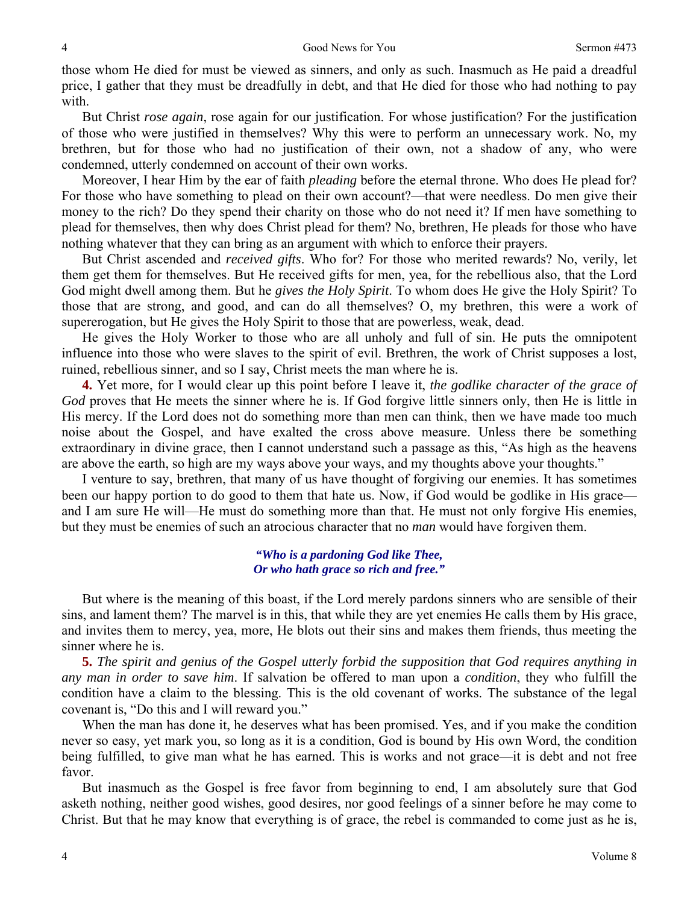those whom He died for must be viewed as sinners, and only as such. Inasmuch as He paid a dreadful price, I gather that they must be dreadfully in debt, and that He died for those who had nothing to pay with.

But Christ *rose again*, rose again for our justification. For whose justification? For the justification of those who were justified in themselves? Why this were to perform an unnecessary work. No, my brethren, but for those who had no justification of their own, not a shadow of any, who were condemned, utterly condemned on account of their own works.

Moreover, I hear Him by the ear of faith *pleading* before the eternal throne. Who does He plead for? For those who have something to plead on their own account?—that were needless. Do men give their money to the rich? Do they spend their charity on those who do not need it? If men have something to plead for themselves, then why does Christ plead for them? No, brethren, He pleads for those who have nothing whatever that they can bring as an argument with which to enforce their prayers.

But Christ ascended and *received gifts*. Who for? For those who merited rewards? No, verily, let them get them for themselves. But He received gifts for men, yea, for the rebellious also, that the Lord God might dwell among them. But he *gives the Holy Spirit*. To whom does He give the Holy Spirit? To those that are strong, and good, and can do all themselves? O, my brethren, this were a work of supererogation, but He gives the Holy Spirit to those that are powerless, weak, dead.

He gives the Holy Worker to those who are all unholy and full of sin. He puts the omnipotent influence into those who were slaves to the spirit of evil. Brethren, the work of Christ supposes a lost, ruined, rebellious sinner, and so I say, Christ meets the man where he is.

**4.** Yet more, for I would clear up this point before I leave it, *the godlike character of the grace of God* proves that He meets the sinner where he is. If God forgive little sinners only, then He is little in His mercy. If the Lord does not do something more than men can think, then we have made too much noise about the Gospel, and have exalted the cross above measure. Unless there be something extraordinary in divine grace, then I cannot understand such a passage as this, "As high as the heavens are above the earth, so high are my ways above your ways, and my thoughts above your thoughts."

I venture to say, brethren, that many of us have thought of forgiving our enemies. It has sometimes been our happy portion to do good to them that hate us. Now, if God would be godlike in His grace and I am sure He will—He must do something more than that. He must not only forgive His enemies, but they must be enemies of such an atrocious character that no *man* would have forgiven them.

> *"Who is a pardoning God like Thee, Or who hath grace so rich and free."*

But where is the meaning of this boast, if the Lord merely pardons sinners who are sensible of their sins, and lament them? The marvel is in this, that while they are yet enemies He calls them by His grace, and invites them to mercy, yea, more, He blots out their sins and makes them friends, thus meeting the sinner where he is.

**5.** *The spirit and genius of the Gospel utterly forbid the supposition that God requires anything in any man in order to save him*. If salvation be offered to man upon a *condition*, they who fulfill the condition have a claim to the blessing. This is the old covenant of works. The substance of the legal covenant is, "Do this and I will reward you."

When the man has done it, he deserves what has been promised. Yes, and if you make the condition never so easy, yet mark you, so long as it is a condition, God is bound by His own Word, the condition being fulfilled, to give man what he has earned. This is works and not grace—it is debt and not free favor.

But inasmuch as the Gospel is free favor from beginning to end, I am absolutely sure that God asketh nothing, neither good wishes, good desires, nor good feelings of a sinner before he may come to Christ. But that he may know that everything is of grace, the rebel is commanded to come just as he is,

4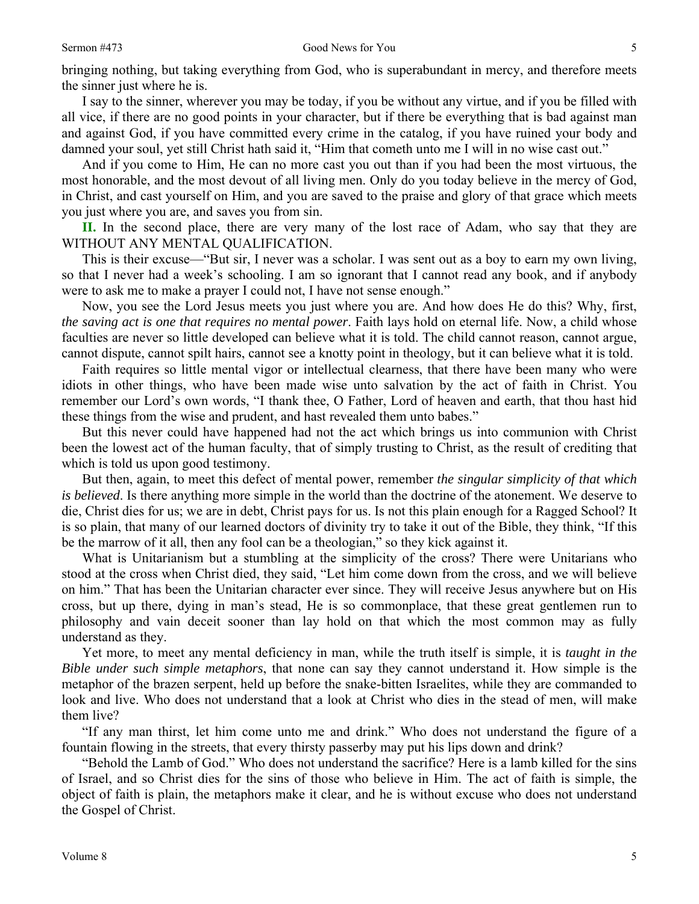bringing nothing, but taking everything from God, who is superabundant in mercy, and therefore meets the sinner just where he is.

I say to the sinner, wherever you may be today, if you be without any virtue, and if you be filled with all vice, if there are no good points in your character, but if there be everything that is bad against man and against God, if you have committed every crime in the catalog, if you have ruined your body and damned your soul, yet still Christ hath said it, "Him that cometh unto me I will in no wise cast out."

And if you come to Him, He can no more cast you out than if you had been the most virtuous, the most honorable, and the most devout of all living men. Only do you today believe in the mercy of God, in Christ, and cast yourself on Him, and you are saved to the praise and glory of that grace which meets you just where you are, and saves you from sin.

**II.** In the second place, there are very many of the lost race of Adam, who say that they are WITHOUT ANY MENTAL QUALIFICATION.

This is their excuse—"But sir, I never was a scholar. I was sent out as a boy to earn my own living, so that I never had a week's schooling. I am so ignorant that I cannot read any book, and if anybody were to ask me to make a prayer I could not, I have not sense enough."

Now, you see the Lord Jesus meets you just where you are. And how does He do this? Why, first, *the saving act is one that requires no mental power*. Faith lays hold on eternal life. Now, a child whose faculties are never so little developed can believe what it is told. The child cannot reason, cannot argue, cannot dispute, cannot spilt hairs, cannot see a knotty point in theology, but it can believe what it is told.

Faith requires so little mental vigor or intellectual clearness, that there have been many who were idiots in other things, who have been made wise unto salvation by the act of faith in Christ. You remember our Lord's own words, "I thank thee, O Father, Lord of heaven and earth, that thou hast hid these things from the wise and prudent, and hast revealed them unto babes."

But this never could have happened had not the act which brings us into communion with Christ been the lowest act of the human faculty, that of simply trusting to Christ, as the result of crediting that which is told us upon good testimony.

But then, again, to meet this defect of mental power, remember *the singular simplicity of that which is believed*. Is there anything more simple in the world than the doctrine of the atonement. We deserve to die, Christ dies for us; we are in debt, Christ pays for us. Is not this plain enough for a Ragged School? It is so plain, that many of our learned doctors of divinity try to take it out of the Bible, they think, "If this be the marrow of it all, then any fool can be a theologian," so they kick against it.

What is Unitarianism but a stumbling at the simplicity of the cross? There were Unitarians who stood at the cross when Christ died, they said, "Let him come down from the cross, and we will believe on him." That has been the Unitarian character ever since. They will receive Jesus anywhere but on His cross, but up there, dying in man's stead, He is so commonplace, that these great gentlemen run to philosophy and vain deceit sooner than lay hold on that which the most common may as fully understand as they.

Yet more, to meet any mental deficiency in man, while the truth itself is simple, it is *taught in the Bible under such simple metaphors*, that none can say they cannot understand it. How simple is the metaphor of the brazen serpent, held up before the snake-bitten Israelites, while they are commanded to look and live. Who does not understand that a look at Christ who dies in the stead of men, will make them live?

"If any man thirst, let him come unto me and drink." Who does not understand the figure of a fountain flowing in the streets, that every thirsty passerby may put his lips down and drink?

"Behold the Lamb of God." Who does not understand the sacrifice? Here is a lamb killed for the sins of Israel, and so Christ dies for the sins of those who believe in Him. The act of faith is simple, the object of faith is plain, the metaphors make it clear, and he is without excuse who does not understand the Gospel of Christ.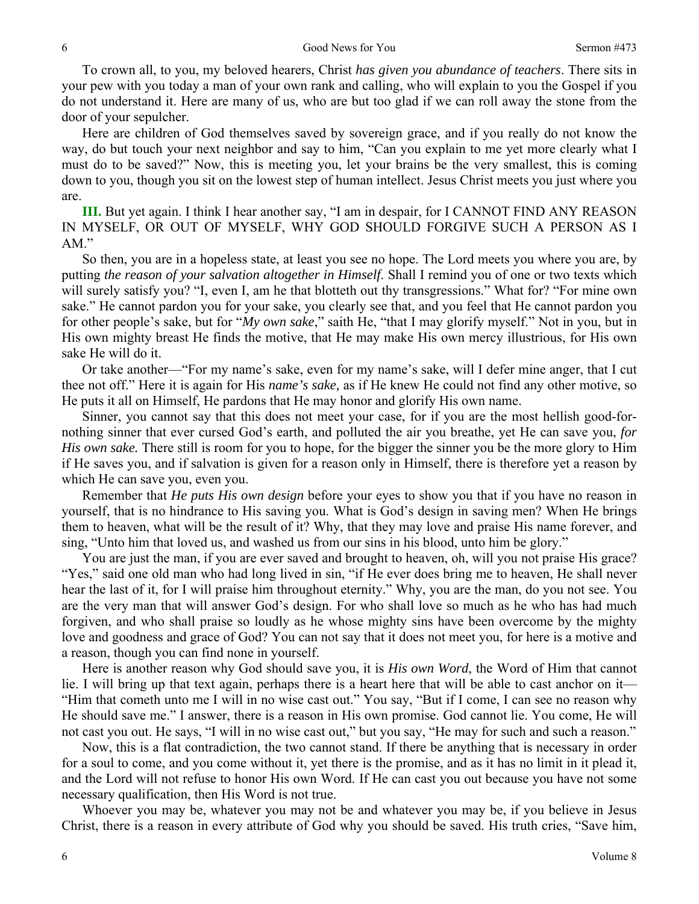To crown all, to you, my beloved hearers, Christ *has given you abundance of teachers*. There sits in your pew with you today a man of your own rank and calling, who will explain to you the Gospel if you do not understand it. Here are many of us, who are but too glad if we can roll away the stone from the door of your sepulcher.

Here are children of God themselves saved by sovereign grace, and if you really do not know the way, do but touch your next neighbor and say to him, "Can you explain to me yet more clearly what I must do to be saved?" Now, this is meeting you, let your brains be the very smallest, this is coming down to you, though you sit on the lowest step of human intellect. Jesus Christ meets you just where you are.

**III.** But yet again. I think I hear another say, "I am in despair, for I CANNOT FIND ANY REASON IN MYSELF, OR OUT OF MYSELF, WHY GOD SHOULD FORGIVE SUCH A PERSON AS I AM."

So then, you are in a hopeless state, at least you see no hope. The Lord meets you where you are, by putting *the reason of your salvation altogether in Himself*. Shall I remind you of one or two texts which will surely satisfy you? "I, even I, am he that blotteth out thy transgressions." What for? "For mine own sake." He cannot pardon you for your sake, you clearly see that, and you feel that He cannot pardon you for other people's sake, but for "*My own sake*," saith He, "that I may glorify myself." Not in you, but in His own mighty breast He finds the motive, that He may make His own mercy illustrious, for His own sake He will do it.

Or take another—"For my name's sake, even for my name's sake, will I defer mine anger, that I cut thee not off." Here it is again for His *name's sake,* as if He knew He could not find any other motive, so He puts it all on Himself, He pardons that He may honor and glorify His own name.

Sinner, you cannot say that this does not meet your case, for if you are the most hellish good-fornothing sinner that ever cursed God's earth, and polluted the air you breathe, yet He can save you, *for His own sake.* There still is room for you to hope, for the bigger the sinner you be the more glory to Him if He saves you, and if salvation is given for a reason only in Himself, there is therefore yet a reason by which He can save you, even you.

Remember that *He puts His own design* before your eyes to show you that if you have no reason in yourself, that is no hindrance to His saving you. What is God's design in saving men? When He brings them to heaven, what will be the result of it? Why, that they may love and praise His name forever, and sing, "Unto him that loved us, and washed us from our sins in his blood, unto him be glory."

You are just the man, if you are ever saved and brought to heaven, oh, will you not praise His grace? "Yes," said one old man who had long lived in sin, "if He ever does bring me to heaven, He shall never hear the last of it, for I will praise him throughout eternity." Why, you are the man, do you not see. You are the very man that will answer God's design. For who shall love so much as he who has had much forgiven, and who shall praise so loudly as he whose mighty sins have been overcome by the mighty love and goodness and grace of God? You can not say that it does not meet you, for here is a motive and a reason, though you can find none in yourself.

Here is another reason why God should save you, it is *His own Word*, the Word of Him that cannot lie. I will bring up that text again, perhaps there is a heart here that will be able to cast anchor on it— "Him that cometh unto me I will in no wise cast out." You say, "But if I come, I can see no reason why He should save me." I answer, there is a reason in His own promise. God cannot lie. You come, He will not cast you out. He says, "I will in no wise cast out," but you say, "He may for such and such a reason."

Now, this is a flat contradiction, the two cannot stand. If there be anything that is necessary in order for a soul to come, and you come without it, yet there is the promise, and as it has no limit in it plead it, and the Lord will not refuse to honor His own Word. If He can cast you out because you have not some necessary qualification, then His Word is not true.

Whoever you may be, whatever you may not be and whatever you may be, if you believe in Jesus Christ, there is a reason in every attribute of God why you should be saved. His truth cries, "Save him,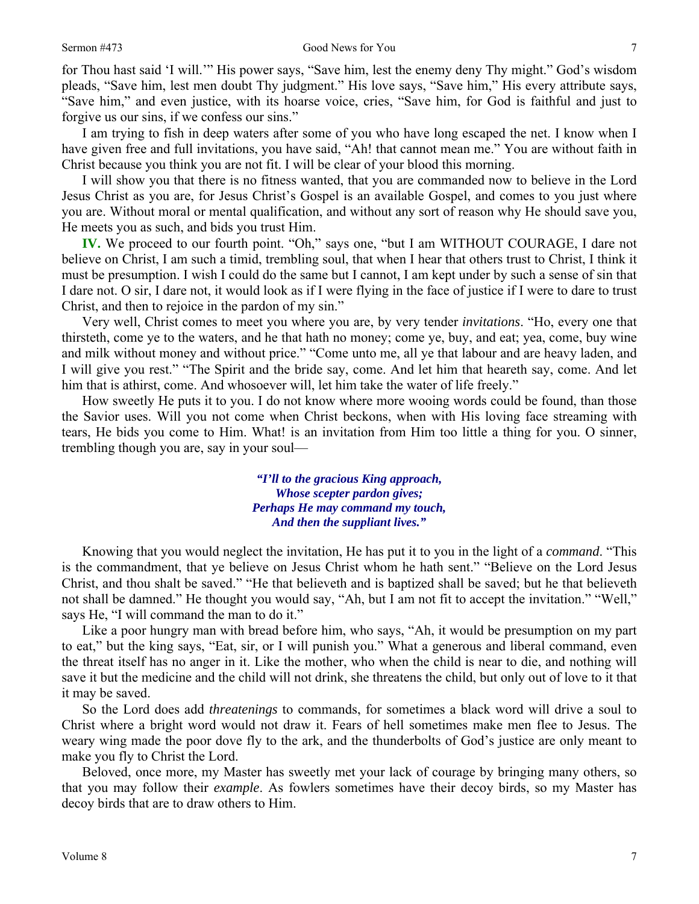for Thou hast said 'I will.'" His power says, "Save him, lest the enemy deny Thy might." God's wisdom pleads, "Save him, lest men doubt Thy judgment." His love says, "Save him," His every attribute says, "Save him," and even justice, with its hoarse voice, cries, "Save him, for God is faithful and just to forgive us our sins, if we confess our sins."

I am trying to fish in deep waters after some of you who have long escaped the net. I know when I have given free and full invitations, you have said, "Ah! that cannot mean me." You are without faith in Christ because you think you are not fit. I will be clear of your blood this morning.

I will show you that there is no fitness wanted, that you are commanded now to believe in the Lord Jesus Christ as you are, for Jesus Christ's Gospel is an available Gospel, and comes to you just where you are. Without moral or mental qualification, and without any sort of reason why He should save you, He meets you as such, and bids you trust Him.

**IV.** We proceed to our fourth point. "Oh," says one, "but I am WITHOUT COURAGE, I dare not believe on Christ, I am such a timid, trembling soul, that when I hear that others trust to Christ, I think it must be presumption. I wish I could do the same but I cannot, I am kept under by such a sense of sin that I dare not. O sir, I dare not, it would look as if I were flying in the face of justice if I were to dare to trust Christ, and then to rejoice in the pardon of my sin."

Very well, Christ comes to meet you where you are, by very tender *invitations*. "Ho, every one that thirsteth, come ye to the waters, and he that hath no money; come ye, buy, and eat; yea, come, buy wine and milk without money and without price." "Come unto me, all ye that labour and are heavy laden, and I will give you rest." "The Spirit and the bride say, come. And let him that heareth say, come. And let him that is athirst, come. And whosoever will, let him take the water of life freely."

How sweetly He puts it to you. I do not know where more wooing words could be found, than those the Savior uses. Will you not come when Christ beckons, when with His loving face streaming with tears, He bids you come to Him. What! is an invitation from Him too little a thing for you. O sinner, trembling though you are, say in your soul—

> *"I'll to the gracious King approach, Whose scepter pardon gives; Perhaps He may command my touch, And then the suppliant lives."*

Knowing that you would neglect the invitation, He has put it to you in the light of a *command*. "This is the commandment, that ye believe on Jesus Christ whom he hath sent." "Believe on the Lord Jesus Christ, and thou shalt be saved." "He that believeth and is baptized shall be saved; but he that believeth not shall be damned." He thought you would say, "Ah, but I am not fit to accept the invitation." "Well," says He, "I will command the man to do it."

Like a poor hungry man with bread before him, who says, "Ah, it would be presumption on my part to eat," but the king says, "Eat, sir, or I will punish you." What a generous and liberal command, even the threat itself has no anger in it. Like the mother, who when the child is near to die, and nothing will save it but the medicine and the child will not drink, she threatens the child, but only out of love to it that it may be saved.

So the Lord does add *threatenings* to commands, for sometimes a black word will drive a soul to Christ where a bright word would not draw it. Fears of hell sometimes make men flee to Jesus. The weary wing made the poor dove fly to the ark, and the thunderbolts of God's justice are only meant to make you fly to Christ the Lord.

Beloved, once more, my Master has sweetly met your lack of courage by bringing many others, so that you may follow their *example*. As fowlers sometimes have their decoy birds, so my Master has decoy birds that are to draw others to Him.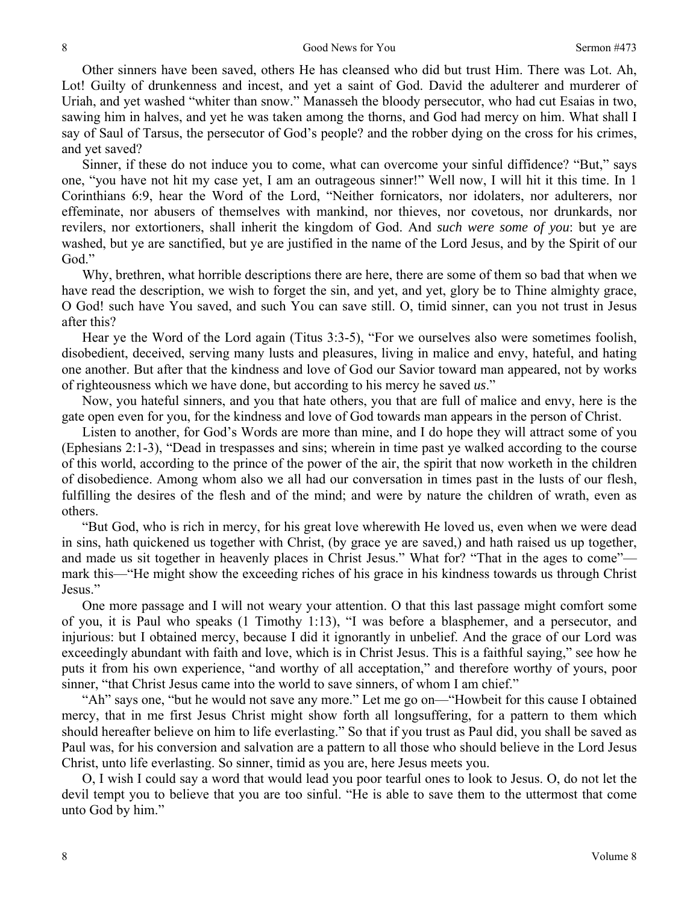Other sinners have been saved, others He has cleansed who did but trust Him. There was Lot. Ah, Lot! Guilty of drunkenness and incest, and yet a saint of God. David the adulterer and murderer of Uriah, and yet washed "whiter than snow." Manasseh the bloody persecutor, who had cut Esaias in two, sawing him in halves, and yet he was taken among the thorns, and God had mercy on him. What shall I say of Saul of Tarsus, the persecutor of God's people? and the robber dying on the cross for his crimes, and yet saved?

Sinner, if these do not induce you to come, what can overcome your sinful diffidence? "But," says one, "you have not hit my case yet, I am an outrageous sinner!" Well now, I will hit it this time. In 1 Corinthians 6:9, hear the Word of the Lord, "Neither fornicators, nor idolaters, nor adulterers, nor effeminate, nor abusers of themselves with mankind, nor thieves, nor covetous, nor drunkards, nor revilers, nor extortioners, shall inherit the kingdom of God. And *such were some of you*: but ye are washed, but ye are sanctified, but ye are justified in the name of the Lord Jesus, and by the Spirit of our God."

Why, brethren, what horrible descriptions there are here, there are some of them so bad that when we have read the description, we wish to forget the sin, and yet, and yet, glory be to Thine almighty grace, O God! such have You saved, and such You can save still. O, timid sinner, can you not trust in Jesus after this?

Hear ye the Word of the Lord again (Titus 3:3-5), "For we ourselves also were sometimes foolish, disobedient, deceived, serving many lusts and pleasures, living in malice and envy, hateful, and hating one another. But after that the kindness and love of God our Savior toward man appeared, not by works of righteousness which we have done, but according to his mercy he saved *us*."

Now, you hateful sinners, and you that hate others, you that are full of malice and envy, here is the gate open even for you, for the kindness and love of God towards man appears in the person of Christ.

Listen to another, for God's Words are more than mine, and I do hope they will attract some of you (Ephesians 2:1-3), "Dead in trespasses and sins; wherein in time past ye walked according to the course of this world, according to the prince of the power of the air, the spirit that now worketh in the children of disobedience. Among whom also we all had our conversation in times past in the lusts of our flesh, fulfilling the desires of the flesh and of the mind; and were by nature the children of wrath, even as others.

"But God, who is rich in mercy, for his great love wherewith He loved us, even when we were dead in sins, hath quickened us together with Christ, (by grace ye are saved,) and hath raised us up together, and made us sit together in heavenly places in Christ Jesus." What for? "That in the ages to come" mark this—"He might show the exceeding riches of his grace in his kindness towards us through Christ Jesus."

One more passage and I will not weary your attention. O that this last passage might comfort some of you, it is Paul who speaks (1 Timothy 1:13), "I was before a blasphemer, and a persecutor, and injurious: but I obtained mercy, because I did it ignorantly in unbelief. And the grace of our Lord was exceedingly abundant with faith and love, which is in Christ Jesus. This is a faithful saying," see how he puts it from his own experience, "and worthy of all acceptation," and therefore worthy of yours, poor sinner, "that Christ Jesus came into the world to save sinners, of whom I am chief."

"Ah" says one, "but he would not save any more." Let me go on—"Howbeit for this cause I obtained mercy, that in me first Jesus Christ might show forth all longsuffering, for a pattern to them which should hereafter believe on him to life everlasting." So that if you trust as Paul did, you shall be saved as Paul was, for his conversion and salvation are a pattern to all those who should believe in the Lord Jesus Christ, unto life everlasting. So sinner, timid as you are, here Jesus meets you.

O, I wish I could say a word that would lead you poor tearful ones to look to Jesus. O, do not let the devil tempt you to believe that you are too sinful. "He is able to save them to the uttermost that come unto God by him."

8